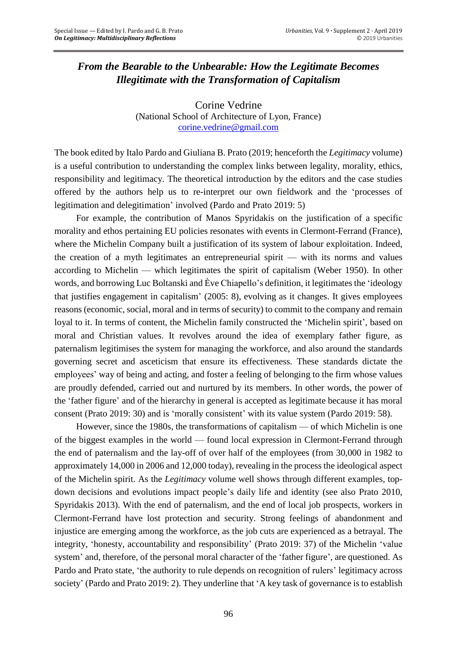## *From the Bearable to the Unbearable: How the Legitimate Becomes Illegitimate with the Transformation of Capitalism*

Corine Vedrine (National School of Architecture of Lyon, France) [corine.vedrine@gmail.com](mailto:corine.vedrine@gmail.com)

The book edited by Italo Pardo and Giuliana B. Prato (2019; henceforth the *Legitimacy* volume) is a useful contribution to understanding the complex links between legality, morality, ethics, responsibility and legitimacy. The theoretical introduction by the editors and the case studies offered by the authors help us to re-interpret our own fieldwork and the 'processes of legitimation and delegitimation' involved (Pardo and Prato 2019: 5)

For example, the contribution of Manos Spyridakis on the justification of a specific morality and ethos pertaining EU policies resonates with events in Clermont-Ferrand (France), where the Michelin Company built a justification of its system of labour exploitation. Indeed, the creation of a myth legitimates an entrepreneurial spirit — with its norms and values according to Michelin — which legitimates the spirit of capitalism (Weber 1950). In other words, and borrowing Luc Boltanski and Ève Chiapello's definition, it legitimates the 'ideology that justifies engagement in capitalism' (2005: 8), evolving as it changes. It gives employees reasons (economic, social, moral and in terms of security) to commit to the company and remain loyal to it. In terms of content, the Michelin family constructed the 'Michelin spirit', based on moral and Christian values. It revolves around the idea of exemplary father figure, as paternalism legitimises the system for managing the workforce, and also around the standards governing secret and asceticism that ensure its effectiveness. These standards dictate the employees' way of being and acting, and foster a feeling of belonging to the firm whose values are proudly defended, carried out and nurtured by its members. In other words, the power of the 'father figure' and of the hierarchy in general is accepted as legitimate because it has moral consent (Prato 2019: 30) and is 'morally consistent' with its value system (Pardo 2019: 58).

However, since the 1980s, the transformations of capitalism — of which Michelin is one of the biggest examples in the world — found local expression in Clermont-Ferrand through the end of paternalism and the lay-off of over half of the employees (from 30,000 in 1982 to approximately 14,000 in 2006 and 12,000 today), revealing in the process the ideological aspect of the Michelin spirit. As the *Legitimacy* volume well shows through different examples, topdown decisions and evolutions impact people's daily life and identity (see also Prato 2010, Spyridakis 2013). With the end of paternalism, and the end of local job prospects, workers in Clermont-Ferrand have lost protection and security. Strong feelings of abandonment and injustice are emerging among the workforce, as the job cuts are experienced as a betrayal. The integrity, 'honesty, accountability and responsibility' (Prato 2019: 37) of the Michelin 'value system' and, therefore, of the personal moral character of the 'father figure', are questioned. As Pardo and Prato state, 'the authority to rule depends on recognition of rulers' legitimacy across society' (Pardo and Prato 2019: 2). They underline that 'A key task of governance is to establish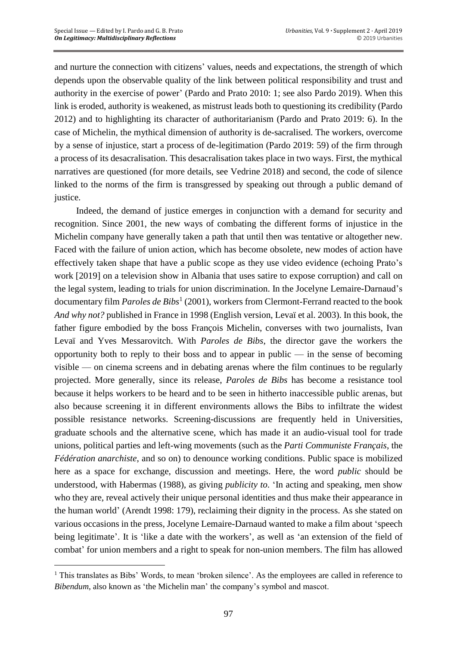$\overline{a}$ 

and nurture the connection with citizens' values, needs and expectations, the strength of which depends upon the observable quality of the link between political responsibility and trust and authority in the exercise of power' (Pardo and Prato 2010: 1; see also Pardo 2019). When this link is eroded, authority is weakened, as mistrust leads both to questioning its credibility (Pardo 2012) and to highlighting its character of authoritarianism (Pardo and Prato 2019: 6). In the case of Michelin, the mythical dimension of authority is de-sacralised. The workers, overcome by a sense of injustice, start a process of de-legitimation (Pardo 2019: 59) of the firm through a process of its desacralisation. This desacralisation takes place in two ways. First, the mythical narratives are questioned (for more details, see Vedrine 2018) and second, the code of silence linked to the norms of the firm is transgressed by speaking out through a public demand of justice.

Indeed, the demand of justice emerges in conjunction with a demand for security and recognition. Since 2001, the new ways of combating the different forms of injustice in the Michelin company have generally taken a path that until then was tentative or altogether new. Faced with the failure of union action, which has become obsolete, new modes of action have effectively taken shape that have a public scope as they use video evidence (echoing Prato's work [2019] on a television show in Albania that uses satire to expose corruption) and call on the legal system, leading to trials for union discrimination. In the Jocelyne Lemaire-Darnaud's documentary film *Paroles de Bibs*<sup>1</sup> (2001), workers from Clermont-Ferrand reacted to the book *And why not?* published in France in 1998 (English version, Levaï et al. 2003). In this book, the father figure embodied by the boss François Michelin, converses with two journalists, Ivan Levaï and Yves Messarovitch. With *Paroles de Bibs*, the director gave the workers the opportunity both to reply to their boss and to appear in public  $-$  in the sense of becoming visible — on cinema screens and in debating arenas where the film continues to be regularly projected. More generally, since its release, *Paroles de Bibs* has become a resistance tool because it helps workers to be heard and to be seen in hitherto inaccessible public arenas, but also because screening it in different environments allows the Bibs to infiltrate the widest possible resistance networks. Screening-discussions are frequently held in Universities, graduate schools and the alternative scene, which has made it an audio-visual tool for trade unions, political parties and left-wing movements (such as the *Parti Communiste Français*, the *Fédération anarchiste*, and so on) to denounce working conditions. Public space is mobilized here as a space for exchange, discussion and meetings. Here, the word *public* should be understood, with Habermas (1988), as giving *publicity to*. 'In acting and speaking, men show who they are, reveal actively their unique personal identities and thus make their appearance in the human world' (Arendt 1998: 179), reclaiming their dignity in the process. As she stated on various occasions in the press, Jocelyne Lemaire-Darnaud wanted to make a film about 'speech being legitimate'. It is 'like a date with the workers', as well as 'an extension of the field of combat' for union members and a right to speak for non-union members. The film has allowed

<sup>&</sup>lt;sup>1</sup> This translates as Bibs' Words, to mean 'broken silence'. As the employees are called in reference to *Bibendum*, also known as 'the Michelin man' the company's symbol and mascot.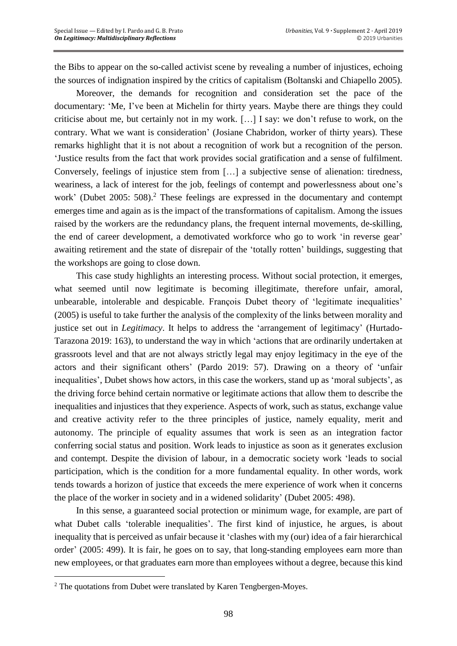the Bibs to appear on the so-called activist scene by revealing a number of injustices, echoing the sources of indignation inspired by the critics of capitalism (Boltanski and Chiapello 2005).

Moreover, the demands for recognition and consideration set the pace of the documentary: 'Me, I've been at Michelin for thirty years. Maybe there are things they could criticise about me, but certainly not in my work. […] I say: we don't refuse to work, on the contrary. What we want is consideration' (Josiane Chabridon, worker of thirty years). These remarks highlight that it is not about a recognition of work but a recognition of the person. 'Justice results from the fact that work provides social gratification and a sense of fulfilment. Conversely, feelings of injustice stem from […] a subjective sense of alienation: tiredness, weariness, a lack of interest for the job, feelings of contempt and powerlessness about one's work' (Dubet 2005: 508). <sup>2</sup> These feelings are expressed in the documentary and contempt emerges time and again as is the impact of the transformations of capitalism. Among the issues raised by the workers are the redundancy plans, the frequent internal movements, de-skilling, the end of career development, a demotivated workforce who go to work 'in reverse gear' awaiting retirement and the state of disrepair of the 'totally rotten' buildings, suggesting that the workshops are going to close down.

This case study highlights an interesting process. Without social protection, it emerges, what seemed until now legitimate is becoming illegitimate, therefore unfair, amoral, unbearable, intolerable and despicable. François Dubet theory of 'legitimate inequalities' (2005) is useful to take further the analysis of the complexity of the links between morality and justice set out in *Legitimacy*. It helps to address the 'arrangement of legitimacy' (Hurtado-Tarazona 2019: 163), to understand the way in which 'actions that are ordinarily undertaken at grassroots level and that are not always strictly legal may enjoy legitimacy in the eye of the actors and their significant others' (Pardo 2019: 57). Drawing on a theory of 'unfair inequalities', Dubet shows how actors, in this case the workers, stand up as 'moral subjects', as the driving force behind certain normative or legitimate actions that allow them to describe the inequalities and injustices that they experience. Aspects of work, such as status, exchange value and creative activity refer to the three principles of justice, namely equality, merit and autonomy. The principle of equality assumes that work is seen as an integration factor conferring social status and position. Work leads to injustice as soon as it generates exclusion and contempt. Despite the division of labour, in a democratic society work 'leads to social participation, which is the condition for a more fundamental equality. In other words, work tends towards a horizon of justice that exceeds the mere experience of work when it concerns the place of the worker in society and in a widened solidarity' (Dubet 2005: 498).

In this sense, a guaranteed social protection or minimum wage, for example, are part of what Dubet calls 'tolerable inequalities'. The first kind of injustice, he argues, is about inequality that is perceived as unfair because it 'clashes with my (our) idea of a fair hierarchical order' (2005: 499). It is fair, he goes on to say, that long-standing employees earn more than new employees, or that graduates earn more than employees without a degree, because this kind

 $\overline{a}$ 

<sup>2</sup> The quotations from Dubet were translated by Karen Tengbergen-Moyes.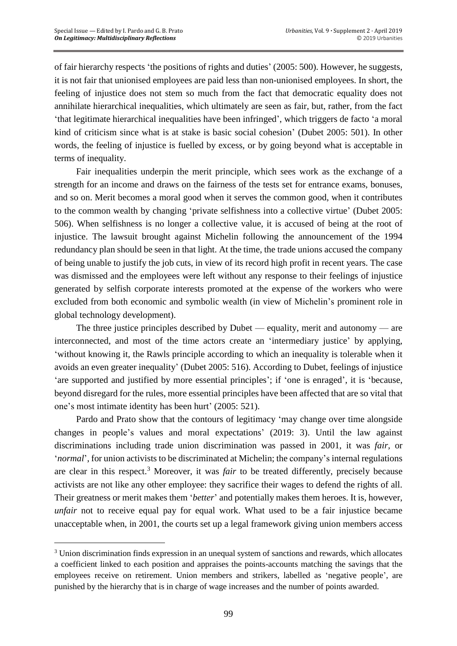$\overline{a}$ 

of fair hierarchy respects 'the positions of rights and duties' (2005: 500). However, he suggests, it is not fair that unionised employees are paid less than non-unionised employees. In short, the feeling of injustice does not stem so much from the fact that democratic equality does not annihilate hierarchical inequalities, which ultimately are seen as fair, but, rather, from the fact 'that legitimate hierarchical inequalities have been infringed', which triggers de facto 'a moral kind of criticism since what is at stake is basic social cohesion' (Dubet 2005: 501). In other words, the feeling of injustice is fuelled by excess, or by going beyond what is acceptable in terms of inequality.

Fair inequalities underpin the merit principle, which sees work as the exchange of a strength for an income and draws on the fairness of the tests set for entrance exams, bonuses, and so on. Merit becomes a moral good when it serves the common good, when it contributes to the common wealth by changing 'private selfishness into a collective virtue' (Dubet 2005: 506). When selfishness is no longer a collective value, it is accused of being at the root of injustice. The lawsuit brought against Michelin following the announcement of the 1994 redundancy plan should be seen in that light. At the time, the trade unions accused the company of being unable to justify the job cuts, in view of its record high profit in recent years. The case was dismissed and the employees were left without any response to their feelings of injustice generated by selfish corporate interests promoted at the expense of the workers who were excluded from both economic and symbolic wealth (in view of Michelin's prominent role in global technology development).

The three justice principles described by Dubet — equality, merit and autonomy — are interconnected, and most of the time actors create an 'intermediary justice' by applying, 'without knowing it, the Rawls principle according to which an inequality is tolerable when it avoids an even greater inequality' (Dubet 2005: 516). According to Dubet, feelings of injustice 'are supported and justified by more essential principles'; if 'one is enraged', it is 'because, beyond disregard for the rules, more essential principles have been affected that are so vital that one's most intimate identity has been hurt' (2005: 521).

Pardo and Prato show that the contours of legitimacy 'may change over time alongside changes in people's values and moral expectations' (2019: 3). Until the law against discriminations including trade union discrimination was passed in 2001, it was *fair,* or '*normal*', for union activists to be discriminated at Michelin; the company's internal regulations are clear in this respect. <sup>3</sup> Moreover, it was *fair* to be treated differently, precisely because activists are not like any other employee: they sacrifice their wages to defend the rights of all. Their greatness or merit makes them '*better*' and potentially makes them heroes. It is, however, *unfair* not to receive equal pay for equal work. What used to be a fair injustice became unacceptable when, in 2001, the courts set up a legal framework giving union members access

<sup>3</sup> Union discrimination finds expression in an unequal system of sanctions and rewards, which allocates a coefficient linked to each position and appraises the points-accounts matching the savings that the employees receive on retirement. Union members and strikers, labelled as 'negative people', are punished by the hierarchy that is in charge of wage increases and the number of points awarded.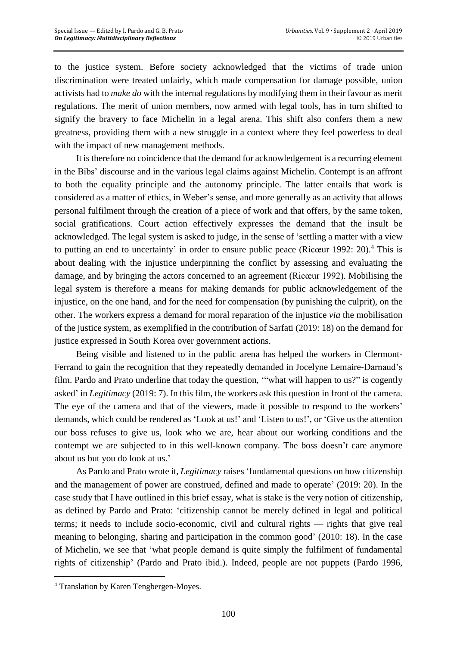to the justice system. Before society acknowledged that the victims of trade union discrimination were treated unfairly, which made compensation for damage possible, union activists had to *make do* with the internal regulations by modifying them in their favour as merit regulations. The merit of union members, now armed with legal tools, has in turn shifted to signify the bravery to face Michelin in a legal arena. This shift also confers them a new greatness, providing them with a new struggle in a context where they feel powerless to deal with the impact of new management methods.

It istherefore no coincidence that the demand for acknowledgement is a recurring element in the Bibs' discourse and in the various legal claims against Michelin. Contempt is an affront to both the equality principle and the autonomy principle. The latter entails that work is considered as a matter of ethics, in Weber's sense, and more generally as an activity that allows personal fulfilment through the creation of a piece of work and that offers, by the same token, social gratifications. Court action effectively expresses the demand that the insult be acknowledged. The legal system is asked to judge, in the sense of 'settling a matter with a view to putting an end to uncertainty' in order to ensure public peace (Ricœur 1992: 20).<sup>4</sup> This is about dealing with the injustice underpinning the conflict by assessing and evaluating the damage, and by bringing the actors concerned to an agreement (Ricœur 1992). Mobilising the legal system is therefore a means for making demands for public acknowledgement of the injustice, on the one hand, and for the need for compensation (by punishing the culprit), on the other. The workers express a demand for moral reparation of the injustice *via* the mobilisation of the justice system, as exemplified in the contribution of Sarfati (2019: 18) on the demand for justice expressed in South Korea over government actions.

Being visible and listened to in the public arena has helped the workers in Clermont-Ferrand to gain the recognition that they repeatedly demanded in Jocelyne Lemaire-Darnaud's film. Pardo and Prato underline that today the question, '"what will happen to us?" is cogently asked' in *Legitimacy* (2019: 7). In this film, the workers ask this question in front of the camera. The eye of the camera and that of the viewers, made it possible to respond to the workers' demands, which could be rendered as 'Look at us!' and 'Listen to us!', or 'Give us the attention our boss refuses to give us, look who we are, hear about our working conditions and the contempt we are subjected to in this well-known company. The boss doesn't care anymore about us but you do look at us.'

As Pardo and Prato wrote it, *Legitimacy* raises 'fundamental questions on how citizenship and the management of power are construed, defined and made to operate' (2019: 20). In the case study that I have outlined in this brief essay, what is stake is the very notion of citizenship, as defined by Pardo and Prato: 'citizenship cannot be merely defined in legal and political terms; it needs to include socio-economic, civil and cultural rights — rights that give real meaning to belonging, sharing and participation in the common good' (2010: 18). In the case of Michelin, we see that 'what people demand is quite simply the fulfilment of fundamental rights of citizenship' (Pardo and Prato ibid.). Indeed, people are not puppets (Pardo 1996,

 $\overline{a}$ 

<sup>4</sup> Translation by Karen Tengbergen-Moyes.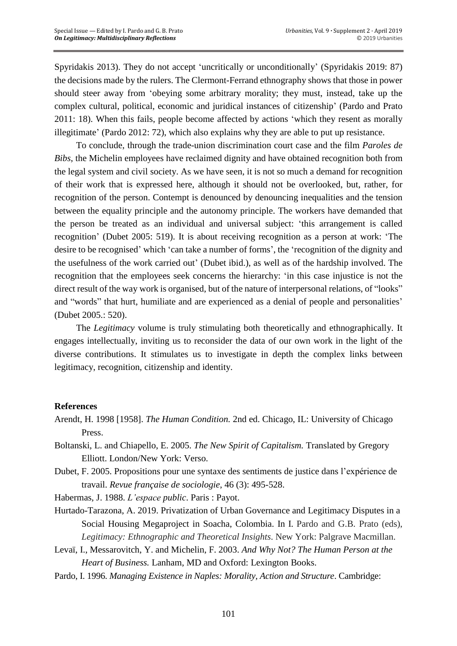Spyridakis 2013). They do not accept 'uncritically or unconditionally' (Spyridakis 2019: 87) the decisions made by the rulers. The Clermont-Ferrand ethnography shows that those in power should steer away from 'obeying some arbitrary morality; they must, instead, take up the complex cultural, political, economic and juridical instances of citizenship' (Pardo and Prato 2011: 18). When this fails, people become affected by actions 'which they resent as morally illegitimate' (Pardo 2012: 72), which also explains why they are able to put up resistance.

To conclude, through the trade-union discrimination court case and the film *Paroles de Bibs*, the Michelin employees have reclaimed dignity and have obtained recognition both from the legal system and civil society. As we have seen, it is not so much a demand for recognition of their work that is expressed here, although it should not be overlooked, but, rather, for recognition of the person. Contempt is denounced by denouncing inequalities and the tension between the equality principle and the autonomy principle. The workers have demanded that the person be treated as an individual and universal subject: 'this arrangement is called recognition' (Dubet 2005: 519). It is about receiving recognition as a person at work: 'The desire to be recognised' which 'can take a number of forms', the 'recognition of the dignity and the usefulness of the work carried out' (Dubet ibid.), as well as of the hardship involved. The recognition that the employees seek concerns the hierarchy: 'in this case injustice is not the direct result of the way work is organised, but of the nature of interpersonal relations, of "looks" and "words" that hurt, humiliate and are experienced as a denial of people and personalities' (Dubet 2005.: 520).

The *Legitimacy* volume is truly stimulating both theoretically and ethnographically. It engages intellectually, inviting us to reconsider the data of our own work in the light of the diverse contributions. It stimulates us to investigate in depth the complex links between legitimacy, recognition, citizenship and identity.

## **References**

- Arendt, H. 1998 [1958]. *The Human Condition.* 2nd ed. Chicago, IL: University of Chicago Press.
- Boltanski, L. and Chiapello, E. 2005. *The New Spirit of Capitalism.* Translated by Gregory Elliott. London/New York: Verso.
- Dubet, F. 2005. Propositions pour une syntaxe des sentiments de justice dans l'expérience de travail. *Revue française de sociologie*, 46 (3): 495-528.
- Habermas, J. 1988. *L'espace public*. Paris : Payot.
- Hurtado-Tarazona, A. 2019. Privatization of Urban Governance and Legitimacy Disputes in a Social Housing Megaproject in Soacha, Colombia. In I. Pardo and G.B. Prato (eds), *Legitimacy: Ethnographic and Theoretical Insights*. New York: Palgrave Macmillan.
- Levaï, I., Messarovitch, Y. and Michelin, F. 2003. *And Why Not? The Human Person at the Heart of Business.* Lanham, MD and Oxford: Lexington Books.
- Pardo, I. 1996. *Managing Existence in Naples: Morality, Action and Structure*. Cambridge: